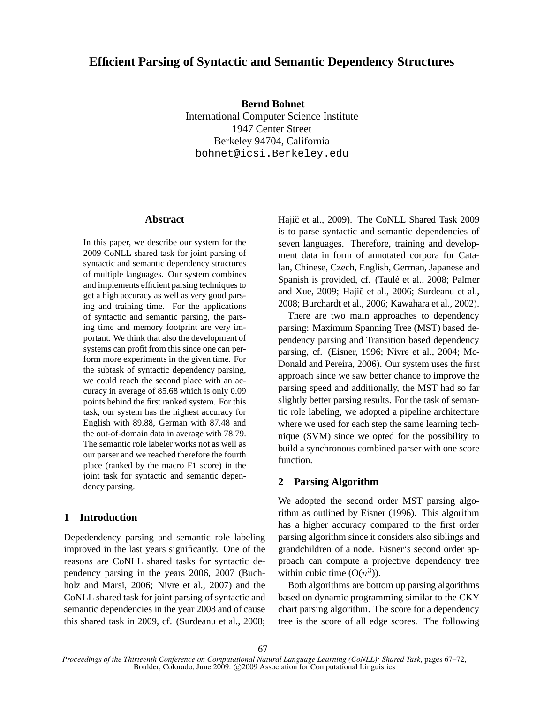# **Efficient Parsing of Syntactic and Semantic Dependency Structures**

**Bernd Bohnet**

International Computer Science Institute 1947 Center Street Berkeley 94704, California bohnet@icsi.Berkeley.edu

## **Abstract**

In this paper, we describe our system for the 2009 CoNLL shared task for joint parsing of syntactic and semantic dependency structures of multiple languages. Our system combines and implements efficient parsing techniques to get a high accuracy as well as very good parsing and training time. For the applications of syntactic and semantic parsing, the parsing time and memory footprint are very important. We think that also the development of systems can profit from this since one can perform more experiments in the given time. For the subtask of syntactic dependency parsing, we could reach the second place with an accuracy in average of 85.68 which is only 0.09 points behind the first ranked system. For this task, our system has the highest accuracy for English with 89.88, German with 87.48 and the out-of-domain data in average with 78.79. The semantic role labeler works not as well as our parser and we reached therefore the fourth place (ranked by the macro F1 score) in the joint task for syntactic and semantic dependency parsing.

## **1 Introduction**

Depedendency parsing and semantic role labeling improved in the last years significantly. One of the reasons are CoNLL shared tasks for syntactic dependency parsing in the years 2006, 2007 (Buchholz and Marsi, 2006; Nivre et al., 2007) and the CoNLL shared task for joint parsing of syntactic and semantic dependencies in the year 2008 and of cause this shared task in 2009, cf. (Surdeanu et al., 2008; Hajič et al., 2009). The CoNLL Shared Task 2009 is to parse syntactic and semantic dependencies of seven languages. Therefore, training and development data in form of annotated corpora for Catalan, Chinese, Czech, English, German, Japanese and Spanish is provided, cf. (Taulé et al., 2008; Palmer and Xue, 2009; Hajič et al., 2006; Surdeanu et al., 2008; Burchardt et al., 2006; Kawahara et al., 2002).

There are two main approaches to dependency parsing: Maximum Spanning Tree (MST) based dependency parsing and Transition based dependency parsing, cf. (Eisner, 1996; Nivre et al., 2004; Mc-Donald and Pereira, 2006). Our system uses the first approach since we saw better chance to improve the parsing speed and additionally, the MST had so far slightly better parsing results. For the task of semantic role labeling, we adopted a pipeline architecture where we used for each step the same learning technique (SVM) since we opted for the possibility to build a synchronous combined parser with one score function.

## **2 Parsing Algorithm**

We adopted the second order MST parsing algorithm as outlined by Eisner (1996). This algorithm has a higher accuracy compared to the first order parsing algorithm since it considers also siblings and grandchildren of a node. Eisner's second order approach can compute a projective dependency tree within cubic time  $(O(n^3))$ .

Both algorithms are bottom up parsing algorithms based on dynamic programming similar to the CKY chart parsing algorithm. The score for a dependency tree is the score of all edge scores. The following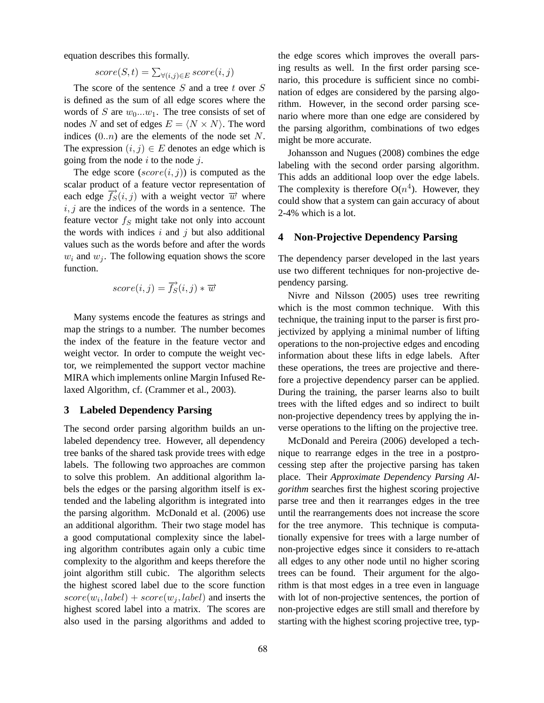equation describes this formally.

$$
score(S, t) = \sum_{\forall (i,j) \in E} score(i, j)
$$

The score of the sentence  $S$  and a tree  $t$  over  $S$ is defined as the sum of all edge scores where the words of S are  $w_0...w_1$ . The tree consists of set of nodes N and set of edges  $E = \langle N \times N \rangle$ . The word indices  $(0..n)$  are the elements of the node set N. The expression  $(i, j) \in E$  denotes an edge which is going from the node  $i$  to the node  $j$ .

The edge score  $(score(i, j))$  is computed as the scalar product of a feature vector representation of each edge  $\overline{f_S}(i, j)$  with a weight vector  $\overrightarrow{w}$  where  $i, j$  are the indices of the words in a sentence. The feature vector  $f<sub>S</sub>$  might take not only into account the words with indices  $i$  and  $j$  but also additional values such as the words before and after the words  $w_i$  and  $w_j$ . The following equation shows the score function.

$$
score(i, j) = \overrightarrow{f_S}(i, j) * \overrightarrow{w}
$$

Many systems encode the features as strings and map the strings to a number. The number becomes the index of the feature in the feature vector and weight vector. In order to compute the weight vector, we reimplemented the support vector machine MIRA which implements online Margin Infused Relaxed Algorithm, cf. (Crammer et al., 2003).

### **3 Labeled Dependency Parsing**

The second order parsing algorithm builds an unlabeled dependency tree. However, all dependency tree banks of the shared task provide trees with edge labels. The following two approaches are common to solve this problem. An additional algorithm labels the edges or the parsing algorithm itself is extended and the labeling algorithm is integrated into the parsing algorithm. McDonald et al. (2006) use an additional algorithm. Their two stage model has a good computational complexity since the labeling algorithm contributes again only a cubic time complexity to the algorithm and keeps therefore the joint algorithm still cubic. The algorithm selects the highest scored label due to the score function  $score(w_i, label) + score(w_j, label)$  and inserts the highest scored label into a matrix. The scores are also used in the parsing algorithms and added to the edge scores which improves the overall parsing results as well. In the first order parsing scenario, this procedure is sufficient since no combination of edges are considered by the parsing algorithm. However, in the second order parsing scenario where more than one edge are considered by the parsing algorithm, combinations of two edges might be more accurate.

Johansson and Nugues (2008) combines the edge labeling with the second order parsing algorithm. This adds an additional loop over the edge labels. The complexity is therefore  $O(n^4)$ . However, they could show that a system can gain accuracy of about 2-4% which is a lot.

## **4 Non-Projective Dependency Parsing**

The dependency parser developed in the last years use two different techniques for non-projective dependency parsing.

Nivre and Nilsson (2005) uses tree rewriting which is the most common technique. With this technique, the training input to the parser is first projectivized by applying a minimal number of lifting operations to the non-projective edges and encoding information about these lifts in edge labels. After these operations, the trees are projective and therefore a projective dependency parser can be applied. During the training, the parser learns also to built trees with the lifted edges and so indirect to built non-projective dependency trees by applying the inverse operations to the lifting on the projective tree.

McDonald and Pereira (2006) developed a technique to rearrange edges in the tree in a postprocessing step after the projective parsing has taken place. Their *Approximate Dependency Parsing Algorithm* searches first the highest scoring projective parse tree and then it rearranges edges in the tree until the rearrangements does not increase the score for the tree anymore. This technique is computationally expensive for trees with a large number of non-projective edges since it considers to re-attach all edges to any other node until no higher scoring trees can be found. Their argument for the algorithm is that most edges in a tree even in language with lot of non-projective sentences, the portion of non-projective edges are still small and therefore by starting with the highest scoring projective tree, typ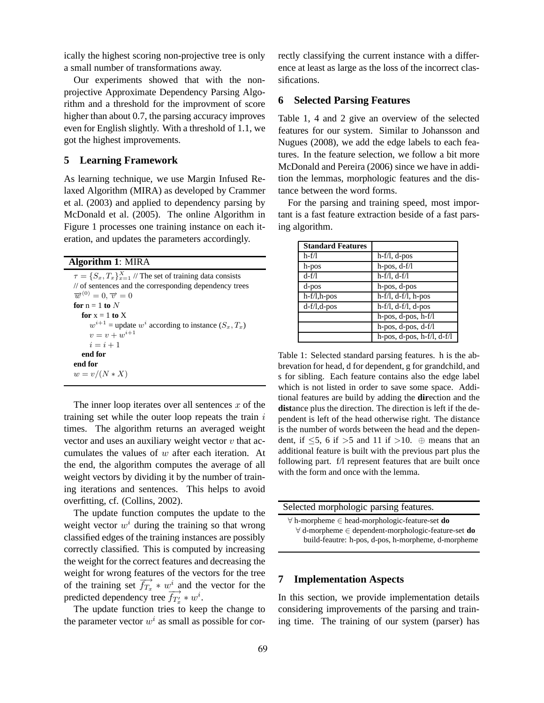ically the highest scoring non-projective tree is only a small number of transformations away.

Our experiments showed that with the nonprojective Approximate Dependency Parsing Algorithm and a threshold for the improvment of score higher than about 0.7, the parsing accuracy improves even for English slightly. With a threshold of 1.1, we got the highest improvements.

## **5 Learning Framework**

As learning technique, we use Margin Infused Relaxed Algorithm (MIRA) as developed by Crammer et al. (2003) and applied to dependency parsing by McDonald et al. (2005). The online Algorithm in Figure 1 processes one training instance on each iteration, and updates the parameters accordingly.

**Algorithm 1**: MIRA

 $\tau = \{S_x, T_x\}_{x=1}^X$  // The set of training data consists // of sentences and the corresponding dependency trees  $\overrightarrow{w}^{(0)}=0, \overrightarrow{v}=0$ **for**  $n = 1$  **to** N **for**  $x = 1$  **to**  $X$  $w^{i+1}$  = update  $w^i$  according to instance  $(S_x, T_x)$  $v = v + w^{i+1}$  $i = i + 1$ **end for end for**  $w = v/(N * X)$ 

The inner loop iterates over all sentences  $x$  of the training set while the outer loop repeats the train  $i$ times. The algorithm returns an averaged weight vector and uses an auxiliary weight vector  $v$  that accumulates the values of  $w$  after each iteration. At the end, the algorithm computes the average of all weight vectors by dividing it by the number of training iterations and sentences. This helps to avoid overfitting, cf. (Collins, 2002).

The update function computes the update to the weight vector  $w^i$  during the training so that wrong classified edges of the training instances are possibly correctly classified. This is computed by increasing the weight for the correct features and decreasing the weight for wrong features of the vectors for the tree of the training set  $\overrightarrow{f_{T_x}} * w^i$  and the vector for the predicted dependency tree  $\overrightarrow{f_{T_x}} * w^i$ .

The update function tries to keep the change to the parameter vector  $w^i$  as small as possible for correctly classifying the current instance with a difference at least as large as the loss of the incorrect classifications.

## **6 Selected Parsing Features**

Table 1, 4 and 2 give an overview of the selected features for our system. Similar to Johansson and Nugues (2008), we add the edge labels to each features. In the feature selection, we follow a bit more McDonald and Pereira (2006) since we have in addition the lemmas, morphologic features and the distance between the word forms.

For the parsing and training speed, most important is a fast feature extraction beside of a fast parsing algorithm.

| <b>Standard Features</b> |                                  |
|--------------------------|----------------------------------|
| $h-f/l$                  | $h-f/l, d-pos$                   |
| h-pos                    | $h$ -pos, $d$ -f/l               |
| $d-f/l$                  | $h-f/l, d-f/l$                   |
| d-pos                    | h-pos, d-pos                     |
| h-f/l,h-pos              | $h-f/l, d-f/l, h-pos$            |
| $d-f/l,d-pos$            | $h-f/l, d-f/l, d-pos$            |
|                          | h-pos, d-pos, h-f/l              |
|                          | $h$ -pos, d-pos, d-f/l           |
|                          | $h$ -pos, d-pos, $h$ -f/l, d-f/l |

Table 1: Selected standard parsing features. h is the abbrevation for head, d for dependent, g for grandchild, and s for sibling. Each feature contains also the edge label which is not listed in order to save some space. Additional features are build by adding the **dir**ection and the **dist**ance plus the direction. The direction is left if the dependent is left of the head otherwise right. The distance is the number of words between the head and the dependent, if  $\leq 5$ , 6 if  $> 5$  and 11 if  $> 10$ . ⊕ means that an additional feature is built with the previous part plus the following part. f/l represent features that are built once with the form and once with the lemma.

Selected morphologic parsing features. ∀ h-morpheme ∈ head-morphologic-feature-set **do** ∀ d-morpheme ∈ dependent-morphologic-feature-set **do** build-feautre: h-pos, d-pos, h-morpheme, d-morpheme

#### **7 Implementation Aspects**

In this section, we provide implementation details considering improvements of the parsing and training time. The training of our system (parser) has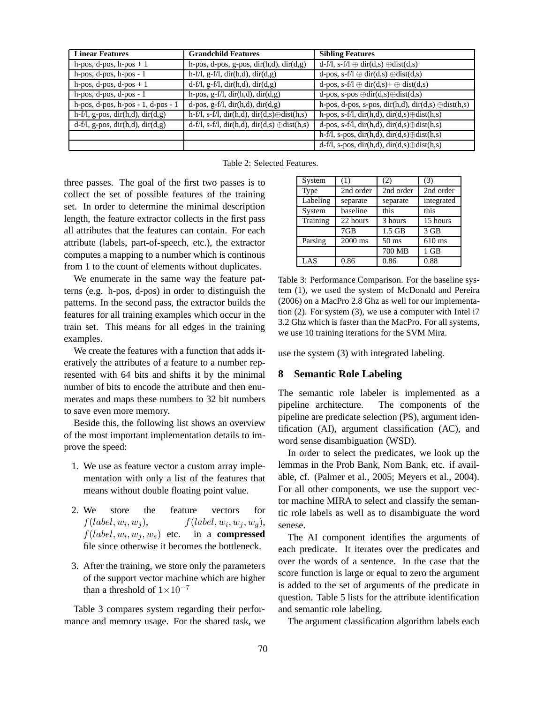| <b>Linear Features</b>                                  | <b>Grandchild Features</b>                             | <b>Sibling Features</b>                                    |
|---------------------------------------------------------|--------------------------------------------------------|------------------------------------------------------------|
| h-pos, d-pos, h-pos $+1$                                | h-pos, d-pos, g-pos, dir $(h,d)$ , dir $(d,g)$         | $d-f/l$ , s-f/l $\oplus$ dir(d,s) $\oplus$ dist(d,s)       |
| h-pos, d-pos, h-pos - 1                                 | $\overline{h-f/l, g-f/l, dir(h,d), dir(d,g)}$          | d-pos, s-f/l $\oplus$ dir(d,s) $\oplus$ dist(d,s)          |
| h-pos, d-pos, d-pos $+1$                                | $d-f/l$ , $g-f/l$ , $dir(h,d)$ , $dir(d,g)$            | d-pos, s-f/l $\oplus$ dir(d,s)+ $\oplus$ dist(d,s)         |
| $h$ -pos, d-pos, d-pos - 1                              | h-pos, $g-f/l$ , dir $(h,d)$ , dir $(d,g)$             | d-pos, s-pos $\oplus$ dir(d,s) $\oplus$ dist(d,s)          |
| $\overline{h\text{-pos}}$ , d-pos, h-pos - 1, d-pos - 1 | $d$ -pos, g-f/l, dir(h,d), dir(d,g)                    | h-pos, d-pos, s-pos, dir(h,d), dir(d,s) $\oplus$ dist(h,s) |
| $h-f/l$ , g-pos, dir $(h,d)$ , dir $(d,g)$              | h-f/l, s-f/l, dir(h,d), dir(d,s) $\oplus$ dist(h,s)    | h-pos, s-f/l, dir(h,d), dir(d,s) $\oplus$ dist(h,s)        |
| $d-f/l$ , g-pos, dir(h,d), dir(d,g)                     | $d-f/l$ , s-f/l, dir(h,d), dir(d,s) $\oplus$ dist(h,s) | d-pos, s-f/l, dir(h,d), dir(d,s) $\oplus$ dist(h,s)        |
|                                                         |                                                        | h-f/l, s-pos, dir(h,d), dir(d,s) $\oplus$ dist(h,s)        |
|                                                         |                                                        | $d-f/l$ , s-pos, dir(h,d), dir(d,s) $\oplus$ dist(h,s)     |

Table 2: Selected Features.

three passes. The goal of the first two passes is to collect the set of possible features of the training set. In order to determine the minimal description length, the feature extractor collects in the first pass all attributes that the features can contain. For each attribute (labels, part-of-speech, etc.), the extractor computes a mapping to a number which is continous from 1 to the count of elements without duplicates.

We enumerate in the same way the feature patterns (e.g. h-pos, d-pos) in order to distinguish the patterns. In the second pass, the extractor builds the features for all training examples which occur in the train set. This means for all edges in the training examples.

We create the features with a function that adds iteratively the attributes of a feature to a number represented with 64 bits and shifts it by the minimal number of bits to encode the attribute and then enumerates and maps these numbers to 32 bit numbers to save even more memory.

Beside this, the following list shows an overview of the most important implementation details to improve the speed:

- 1. We use as feature vector a custom array implementation with only a list of the features that means without double floating point value.
- 2. We store the feature vectors for  $f(label, w<sub>i</sub>, w<sub>j</sub>),$  $, w_j$ ,  $f(label, w_i, w_j, w_g)$ ,  $f(label, w_i, w_j, w_s)$  etc. in a **compressed** file since otherwise it becomes the bottleneck.
- 3. After the training, we store only the parameters of the support vector machine which are higher than a threshold of  $1\times10^{-7}$

Table 3 compares system regarding their performance and memory usage. For the shared task, we

| System   | (1)       | (2)             | (3)        |
|----------|-----------|-----------------|------------|
| Type     | 2nd order | 2nd order       | 2nd order  |
| Labeling | separate  | separate        | integrated |
| System   | baseline  | this            | this       |
| Training | 22 hours  | 3 hours         | 15 hours   |
|          | 7GB       | $1.5$ GB        | $3$ GB     |
| Parsing  | $2000$ ms | $50 \text{ ms}$ | $610$ ms   |
|          |           | 700 MB          | $1$ GB     |
| LAS      | 0.86      | 0.86            | 0.88       |

Table 3: Performance Comparison. For the baseline system (1), we used the system of McDonald and Pereira (2006) on a MacPro 2.8 Ghz as well for our implementation (2). For system (3), we use a computer with Intel i7 3.2 Ghz which is faster than the MacPro. For all systems, we use 10 training iterations for the SVM Mira.

use the system (3) with integrated labeling.

#### **8 Semantic Role Labeling**

The semantic role labeler is implemented as a pipeline architecture. The components of the pipeline are predicate selection (PS), argument identification (AI), argument classification (AC), and word sense disambiguation (WSD).

In order to select the predicates, we look up the lemmas in the Prob Bank, Nom Bank, etc. if available, cf. (Palmer et al., 2005; Meyers et al., 2004). For all other components, we use the support vector machine MIRA to select and classify the semantic role labels as well as to disambiguate the word senese.

The AI component identifies the arguments of each predicate. It iterates over the predicates and over the words of a sentence. In the case that the score function is large or equal to zero the argument is added to the set of arguments of the predicate in question. Table 5 lists for the attribute identification and semantic role labeling.

The argument classification algorithm labels each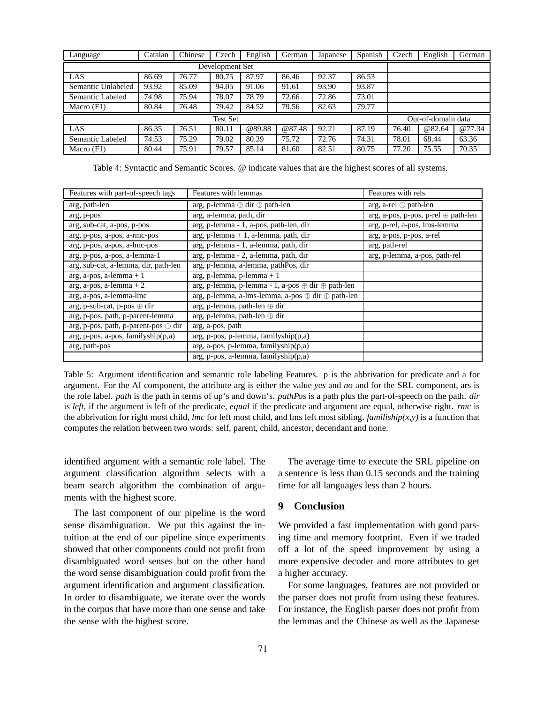| Language           | Catalan | Chinese | Czech | English | German | Japanese           | Spanish | Czech | English | German |
|--------------------|---------|---------|-------|---------|--------|--------------------|---------|-------|---------|--------|
| Development Set    |         |         |       |         |        |                    |         |       |         |        |
| LAS                | 86.69   | 76.77   | 80.75 | 87.97   | 86.46  | 92.37              | 86.53   |       |         |        |
| Semantic Unlabeled | 93.92   | 85.09   | 94.05 | 91.06   | 91.61  | 93.90              | 93.87   |       |         |        |
| Semantic Labeled   | 74.98   | 75.94   | 78.07 | 78.79   | 72.66  | 72.86              | 73.01   |       |         |        |
| Macro $(F1)$       | 80.84   | 76.48   | 79.42 | 84.52   | 79.56  | 82.63              | 79.77   |       |         |        |
| <b>Test Set</b>    |         |         |       |         |        | Out-of-domain data |         |       |         |        |
| LAS                | 86.35   | 76.51   | 80.11 | @89.88  | @87.48 | 92.21              | 87.19   | 76.40 | @82.64  | @77.34 |
| Semantic Labeled   | 74.53   | 75.29   | 79.02 | 80.39   | 75.72  | 72.76              | 74.31   | 78.01 | 68.44   | 63.36  |
| Macro $(F1)$       | 80.44   | 75.91   | 79.57 | 85.14   | 81.60  | 82.51              | 80.75   | 77.20 | 75.55   | 70.35  |

Table 4: Syntactic and Semantic Scores. @ indicate values that are the highest scores of all systems.

| Features with part-of-speech tags                         | Features with lemmas                                               | Features with rels                         |
|-----------------------------------------------------------|--------------------------------------------------------------------|--------------------------------------------|
| arg, path-len                                             | $arg, p$ -lemma $\oplus$ dir $\oplus$ path-len                     | $arg,$ a-rel $\oplus$ path-len             |
| arg, p-pos                                                | arg, a-lemma, path, dir                                            | $arg, a-pos, p-pos, p-rel \oplus path-len$ |
| arg, sub-cat, a-pos, p-pos                                | arg, p-lemma - 1, a-pos, path-len, dir                             | arg, p-rel, a-pos, lms-lemma               |
| arg, p-pos, a-pos, a-rmc-pos                              | $arg, p$ -lemma + 1, a-lemma, path, dir                            | arg, a-pos, p-pos, a-rel                   |
| arg, p-pos, a-pos, a-lmc-pos                              | arg, p-lemma - 1, a-lemma, path, dir                               | arg, path-rel                              |
| arg, p-pos, a-pos, a-lemma-1                              | arg, p-lemma - 2, a-lemma, path, dir                               | arg, p-lemma, a-pos, path-rel              |
| arg, sub-cat, a-lemma, dir, path-len                      | arg, p-lemma, a-lemma, pathPos, dir                                |                                            |
| $arg, a-pos, a-lemma + 1$                                 | $arg, p$ -lemma, p-lemma + 1                                       |                                            |
| $arg, a-pos, a-lemma + 2$                                 | $arg, p$ -lemma, p-lemma - 1, a-pos $\oplus$ dir $\oplus$ path-len |                                            |
| arg, a-pos, a-lemma-lmc                                   | $arg, p$ -lemma, a-lms-lemma, a-pos $\oplus$ dir $\oplus$ path-len |                                            |
| $arg, p-sub-cat, p-pos \oplus dir$                        | arg, p-lemma, path-len ⊕ dir                                       |                                            |
| arg, p-pos, path, p-parent-lemma                          | $arg, p$ -lemma, path-len $\oplus$ dir                             |                                            |
| $arg, p\text{-pos}, path, p\text{-parent-pos} \oplus dir$ | arg, a-pos, path                                                   |                                            |
| arg, p-pos, a-pos, familyship(p,a)                        | arg, p-pos, p-lemma, familyship(p,a)                               |                                            |
| arg, path-pos                                             | arg, a-pos, p-lemma, familyship(p,a)                               |                                            |
|                                                           | $arg, p-pos, a-lemma, familyship(p,a)$                             |                                            |

Table 5: Argument identification and semantic role labeling Features. p is the abbrivation for predicate and a for argument. For the AI component, the attribute arg is either the value *yes* and *no* and for the SRL component, ars is the role label. *path* is the path in terms of up's and down's. *pathPos* is a path plus the part-of-speech on the path. *dir* is *left*, if the argument is left of the predicate, *equal* if the predicate and argument are equal, otherwise right. *rmc* is the abbrivation for right most child, *lmc* for left most child, and lms left most sibling. *familiship(x,y)* is a function that computes the relation between two words: self, parent, child, ancestor, decendant and none.

identified argument with a semantic role label. The argument classification algorithm selects with a beam search algorithm the combination of arguments with the highest score.

The last component of our pipeline is the word sense disambiguation. We put this against the intuition at the end of our pipeline since experiments showed that other components could not profit from disambiguated word senses but on the other hand the word sense disambiguation could profit from the argument identification and argument classification. In order to disambiguate, we iterate over the words in the corpus that have more than one sense and take the sense with the highest score.

The average time to execute the SRL pipeline on a sentence is less than 0.15 seconds and the training time for all languages less than 2 hours.

## **9 Conclusion**

We provided a fast implementation with good parsing time and memory footprint. Even if we traded off a lot of the speed improvement by using a more expensive decoder and more attributes to get a higher accuracy.

For some languages, features are not provided or the parser does not profit from using these features. For instance, the English parser does not profit from the lemmas and the Chinese as well as the Japanese